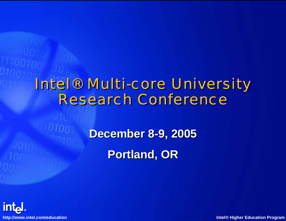#### Intel® Multi-core University Intel® Multi-core University Research Conference Research Conference

**December 8 December 8-9, 2005 9, 2005**

**Portland, OR Portland, OR**

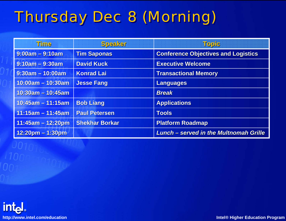# **Thursday Dec 8 (Morning)**

| Time                 | Speaker               | Topic                                         |
|----------------------|-----------------------|-----------------------------------------------|
| $9:00am - 9:10am$    | <b>Tim Saponas</b>    | <b>Conference Objectives and Logistics</b>    |
| $9:10am - 9:30am$    | <b>David Kuck</b>     | <b>Executive Welcome</b>                      |
| $9:30$ am - 10:00am  | <b>Konrad Lai</b>     | <b>Transactional Memory</b>                   |
| $10:00$ am - 10:30am | <b>Jesse Fang</b>     | <b>Languages</b>                              |
| $10:30$ am - 10:45am |                       | <b>Break</b>                                  |
| $10:45$ am - 11:15am | <b>Bob Liang</b>      | <b>Applications</b>                           |
| $11:15am - 11:45am$  | <b>Paul Petersen</b>  | <b>Tools</b>                                  |
| $11:45am - 12:20pm$  | <b>Shekhar Borkar</b> | <b>Platform Roadmap</b>                       |
| $12:20$ pm – 1:30pm  |                       | <b>Lunch – served in the Multnomah Grille</b> |

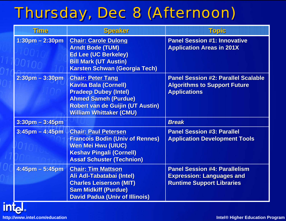### Thursday, Dec 8 (Afternoon)

| Gmill                     | <b>Speaker</b>                                                                                                                                                                                       | Topic                                                                                                        |
|---------------------------|------------------------------------------------------------------------------------------------------------------------------------------------------------------------------------------------------|--------------------------------------------------------------------------------------------------------------|
| $1:30$ pm - 2:30pm        | <b>Chair: Carole Dulong</b><br><b>Arndt Bode (TUM)</b><br><b>Ed Lee (UC Berkeley)</b><br><b>Bill Mark (UT Austin)</b><br><b>Karsten Schwan (Georgia Tech)</b>                                        | <b>Panel Session #1: Innovative</b><br><b>Application Areas in 201X</b>                                      |
| $2:30$ pm – 3:30pm        | <b>Chair: Peter Tang</b><br><b>Kavita Bala (Cornell)</b><br><b>Pradeep Dubey (Intel)</b><br><b>Ahmed Sameh (Purdue)</b><br><b>Robert van de Guijin (UT Austin)</b><br><b>William Whittaker (CMU)</b> | <b>Panel Session #2: Parallel Scalable</b><br><b>Algorithms to Support Future</b><br><b>Applications</b>     |
| $3:30$ pm – $3:45$ pm     |                                                                                                                                                                                                      | <b>Break</b>                                                                                                 |
| $3:45$ pm – 4:45pm        | <b>Chair: Paul Petersen</b><br><b>Francois Bodin (Univ of Rennes)</b><br><b>Wen Mei Hwu (UIUC)</b><br><b>Keshav Pingali (Cornell)</b><br><b>Assaf Schuster (Technion)</b>                            | <b>Panel Session #3: Parallel</b><br><b>Application Development Tools</b>                                    |
| $4:45$ pm $-5:45$ pm<br>п | <b>Chair: Tim Mattson</b><br>Ali Adl-Tabatabai (Intel)<br><b>Charles Leiserson (MIT)</b><br><b>Sam Midkiff (Purdue)</b><br><b>David Padua (Univ of Illinois)</b>                                     | <b>Panel Session #4: Parallelism</b><br><b>Expression: Languages and</b><br><b>Runtime Support Libraries</b> |

intal.

**http://www.intel.com/education Intel® Higher Education Program**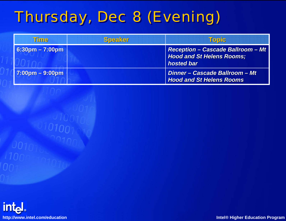# Thursday, Dec 8 (Evening)

| Time                              | <b>Speaker</b> | <u>Topic</u>                                                                               |
|-----------------------------------|----------------|--------------------------------------------------------------------------------------------|
| $6:30$ pm – 7:00pm                |                | <b>Reception - Cascade Ballroom - Mt</b><br><b>Hood and St Helens Rooms;</b><br>hosted bar |
| $7:00 \text{pm} - 9:00 \text{pm}$ |                | Dinner - Cascade Ballroom - Mt<br><b>Hood and St Helens Rooms</b>                          |